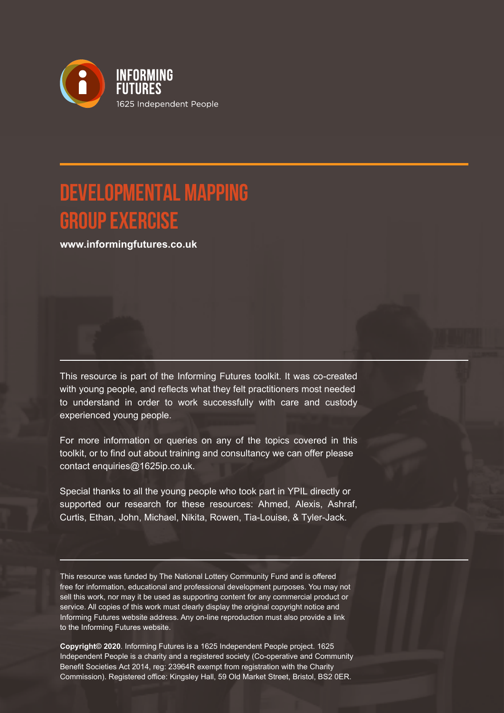

# **Developmental Mapping Group Exercise**

**www.informingfutures.co.uk**

This resource is part of the Informing Futures toolkit. It was co-created with young people, and reflects what they felt practitioners most needed to understand in order to work successfully with care and custody experienced young people.

For more information or queries on any of the topics covered in this toolkit, or to find out about training and consultancy we can offer please contact enquiries@1625ip.co.uk.

Special thanks to all the young people who took part in YPIL directly or supported our research for these resources: Ahmed, Alexis, Ashraf, Curtis, Ethan, John, Michael, Nikita, Rowen, Tia-Louise, & Tyler-Jack.

This resource was funded by The National Lottery Community Fund and is offered free for information, educational and professional development purposes. You may not sell this work, nor may it be used as supporting content for any commercial product or service. All copies of this work must clearly display the original copyright notice and Informing Futures website address. Any on-line reproduction must also provide a link to the Informing Futures website.

**Copyright© 2020**. Informing Futures is a 1625 Independent People project. 1625 Independent People is a charity and a registered society (Co-operative and Community Benefit Societies Act 2014, reg: 23964R exempt from registration with the Charity Commission). Registered office: Kingsley Hall, 59 Old Market Street, Bristol, BS2 0ER.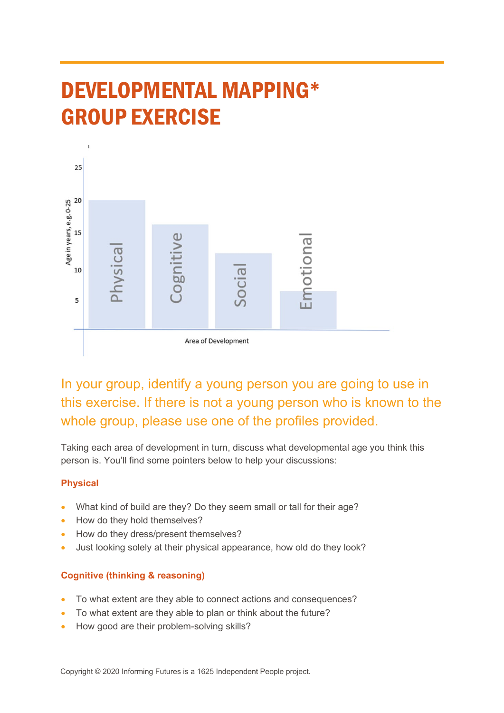# DEVELOPMENTAL MAPPING\* GROUP EXERCISE



In your group, identify a young person you are going to use in this exercise. If there is not a young person who is known to the whole group, please use one of the profiles provided.

Taking each area of development in turn, discuss what developmental age you think this person is. You'll find some pointers below to help your discussions:

# **Physical**

- What kind of build are they? Do they seem small or tall for their age?
- How do they hold themselves?
- How do they dress/present themselves?
- Just looking solely at their physical appearance, how old do they look?

# **Cognitive (thinking & reasoning)**

- To what extent are they able to connect actions and consequences?
- To what extent are they able to plan or think about the future?
- How good are their problem-solving skills?